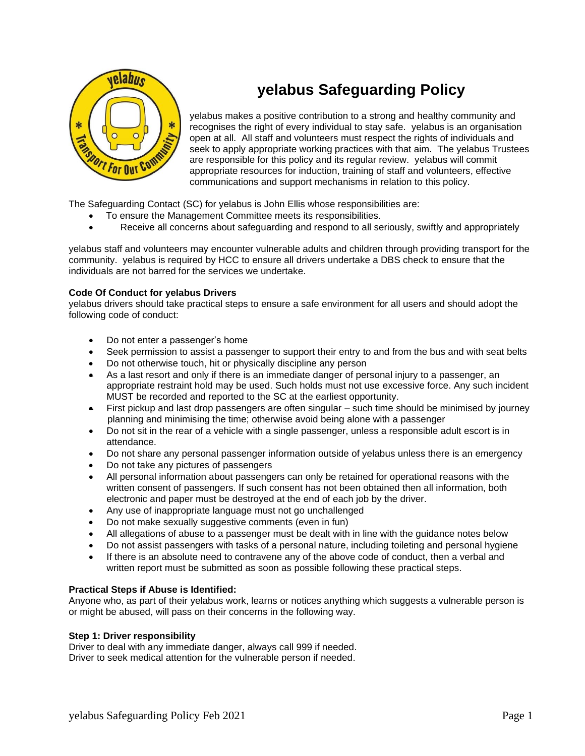

# **yelabus Safeguarding Policy**

yelabus makes a positive contribution to a strong and healthy community and recognises the right of every individual to stay safe. yelabus is an organisation open at all. All staff and volunteers must respect the rights of individuals and seek to apply appropriate working practices with that aim. The yelabus Trustees are responsible for this policy and its regular review. yelabus will commit appropriate resources for induction, training of staff and volunteers, effective communications and support mechanisms in relation to this policy.

The Safeguarding Contact (SC) for yelabus is John Ellis whose responsibilities are:

- To ensure the Management Committee meets its responsibilities.
- Receive all concerns about safeguarding and respond to all seriously, swiftly and appropriately

yelabus staff and volunteers may encounter vulnerable adults and children through providing transport for the community. yelabus is required by HCC to ensure all drivers undertake a DBS check to ensure that the individuals are not barred for the services we undertake.

# **Code Of Conduct for yelabus Drivers**

yelabus drivers should take practical steps to ensure a safe environment for all users and should adopt the following code of conduct:

- Do not enter a passenger's home
- Seek permission to assist a passenger to support their entry to and from the bus and with seat belts
- Do not otherwise touch, hit or physically discipline any person
- As a last resort and only if there is an immediate danger of personal injury to a passenger, an appropriate restraint hold may be used. Such holds must not use excessive force. Any such incident MUST be recorded and reported to the SC at the earliest opportunity.
- First pickup and last drop passengers are often singular such time should be minimised by journey planning and minimising the time; otherwise avoid being alone with a passenger
- Do not sit in the rear of a vehicle with a single passenger, unless a responsible adult escort is in attendance.
- Do not share any personal passenger information outside of yelabus unless there is an emergency
- Do not take any pictures of passengers
- All personal information about passengers can only be retained for operational reasons with the written consent of passengers. If such consent has not been obtained then all information, both electronic and paper must be destroyed at the end of each job by the driver.
- Any use of inappropriate language must not go unchallenged
- Do not make sexually suggestive comments (even in fun)
- All allegations of abuse to a passenger must be dealt with in line with the guidance notes below
- Do not assist passengers with tasks of a personal nature, including toileting and personal hygiene
- If there is an absolute need to contravene any of the above code of conduct, then a verbal and written report must be submitted as soon as possible following these practical steps.

## **Practical Steps if Abuse is Identified:**

Anyone who, as part of their yelabus work, learns or notices anything which suggests a vulnerable person is or might be abused, will pass on their concerns in the following way.

## **Step 1: Driver responsibility**

Driver to deal with any immediate danger, always call 999 if needed. Driver to seek medical attention for the vulnerable person if needed.